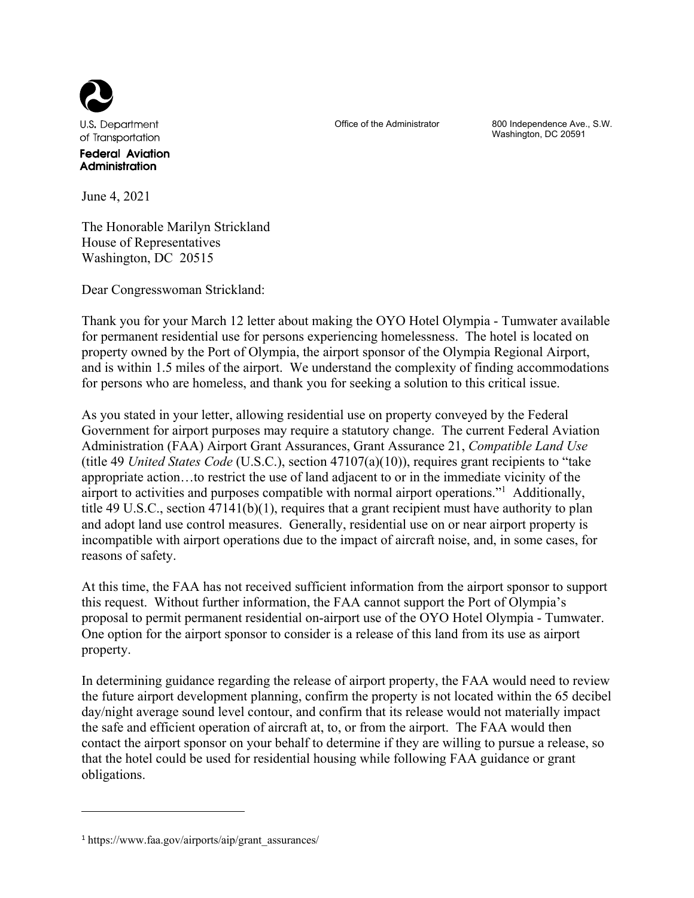

Office of the Administrator 800 Independence Ave., S.W. Washington, DC 20591

June 4, 2021

Administration

The Honorable Marilyn Strickland House of Representatives Washington, DC 20515

Dear Congresswoman Strickland:

Thank you for your March 12 letter about making the OYO Hotel Olympia - Tumwater available for permanent residential use for persons experiencing homelessness. The hotel is located on property owned by the Port of Olympia, the airport sponsor of the Olympia Regional Airport, and is within 1.5 miles of the airport. We understand the complexity of finding accommodations for persons who are homeless, and thank you for seeking a solution to this critical issue.

As you stated in your letter, allowing residential use on property conveyed by the Federal Government for airport purposes may require a statutory change. The current Federal Aviation Administration (FAA) Airport Grant Assurances, Grant Assurance 21, *Compatible Land Use* (title 49 *United States Code* (U.S.C.), section 47107(a)(10)), requires grant recipients to "take appropriate action…to restrict the use of land adjacent to or in the immediate vicinity of the airport to activities and purposes compatible with normal airport operations."<sup>1</sup> Additionally, title 49 U.S.C., section 47141(b)(1), requires that a grant recipient must have authority to plan and adopt land use control measures. Generally, residential use on or near airport property is incompatible with airport operations due to the impact of aircraft noise, and, in some cases, for reasons of safety.

At this time, the FAA has not received sufficient information from the airport sponsor to support this request. Without further information, the FAA cannot support the Port of Olympia's proposal to permit permanent residential on-airport use of the OYO Hotel Olympia - Tumwater. One option for the airport sponsor to consider is a release of this land from its use as airport property.

In determining guidance regarding the release of airport property, the FAA would need to review the future airport development planning, confirm the property is not located within the 65 decibel day/night average sound level contour, and confirm that its release would not materially impact the safe and efficient operation of aircraft at, to, or from the airport. The FAA would then contact the airport sponsor on your behalf to determine if they are willing to pursue a release, so that the hotel could be used for residential housing while following FAA guidance or grant obligations.

1

<sup>1</sup> https://www.faa.gov/airports/aip/grant\_assurances/